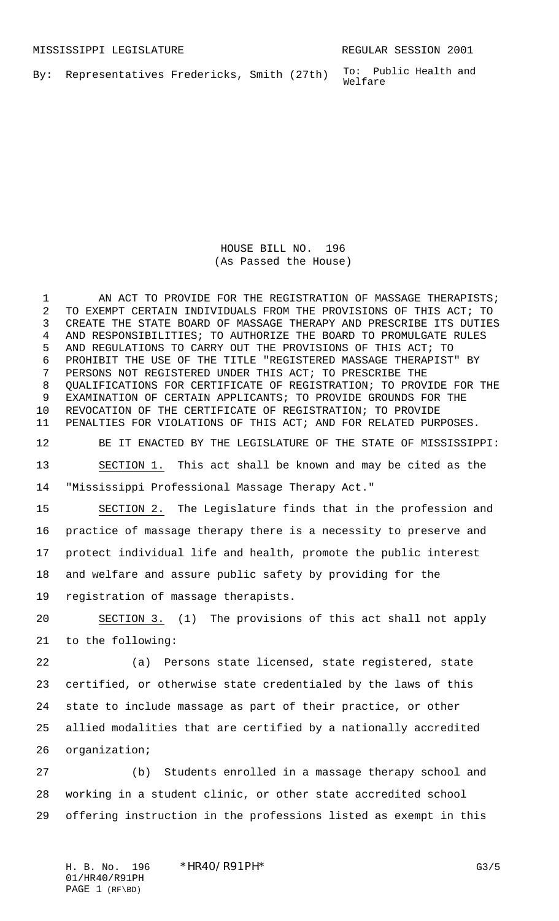To: Public Health and Welfare By: Representatives Fredericks, Smith (27th)

> HOUSE BILL NO. 196 (As Passed the House)

1 AN ACT TO PROVIDE FOR THE REGISTRATION OF MASSAGE THERAPISTS; TO EXEMPT CERTAIN INDIVIDUALS FROM THE PROVISIONS OF THIS ACT; TO CREATE THE STATE BOARD OF MASSAGE THERAPY AND PRESCRIBE ITS DUTIES AND RESPONSIBILITIES; TO AUTHORIZE THE BOARD TO PROMULGATE RULES AND REGULATIONS TO CARRY OUT THE PROVISIONS OF THIS ACT; TO PROHIBIT THE USE OF THE TITLE "REGISTERED MASSAGE THERAPIST" BY PERSONS NOT REGISTERED UNDER THIS ACT; TO PRESCRIBE THE QUALIFICATIONS FOR CERTIFICATE OF REGISTRATION; TO PROVIDE FOR THE EXAMINATION OF CERTAIN APPLICANTS; TO PROVIDE GROUNDS FOR THE REVOCATION OF THE CERTIFICATE OF REGISTRATION; TO PROVIDE PENALTIES FOR VIOLATIONS OF THIS ACT; AND FOR RELATED PURPOSES. BE IT ENACTED BY THE LEGISLATURE OF THE STATE OF MISSISSIPPI: SECTION 1. This act shall be known and may be cited as the "Mississippi Professional Massage Therapy Act." SECTION 2. The Legislature finds that in the profession and practice of massage therapy there is a necessity to preserve and protect individual life and health, promote the public interest and welfare and assure public safety by providing for the registration of massage therapists. SECTION 3. (1) The provisions of this act shall not apply to the following: (a) Persons state licensed, state registered, state certified, or otherwise state credentialed by the laws of this state to include massage as part of their practice, or other allied modalities that are certified by a nationally accredited organization; (b) Students enrolled in a massage therapy school and working in a student clinic, or other state accredited school offering instruction in the professions listed as exempt in this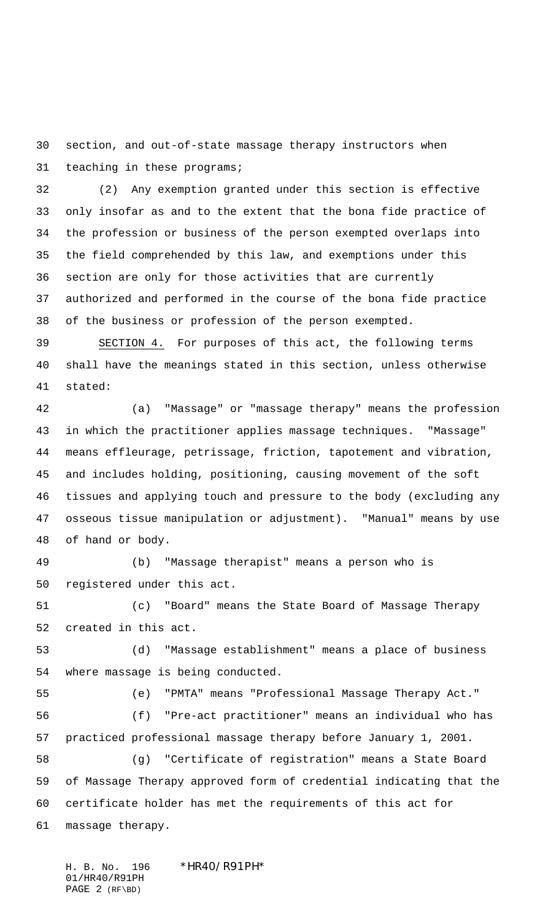section, and out-of-state massage therapy instructors when teaching in these programs;

 (2) Any exemption granted under this section is effective only insofar as and to the extent that the bona fide practice of the profession or business of the person exempted overlaps into the field comprehended by this law, and exemptions under this section are only for those activities that are currently authorized and performed in the course of the bona fide practice of the business or profession of the person exempted.

 SECTION 4. For purposes of this act, the following terms shall have the meanings stated in this section, unless otherwise stated:

 (a) "Massage" or "massage therapy" means the profession in which the practitioner applies massage techniques. "Massage" means effleurage, petrissage, friction, tapotement and vibration, and includes holding, positioning, causing movement of the soft tissues and applying touch and pressure to the body (excluding any osseous tissue manipulation or adjustment). "Manual" means by use of hand or body.

 (b) "Massage therapist" means a person who is registered under this act.

 (c) "Board" means the State Board of Massage Therapy created in this act.

 (d) "Massage establishment" means a place of business where massage is being conducted.

(e) "PMTA" means "Professional Massage Therapy Act."

 (f) "Pre-act practitioner" means an individual who has practiced professional massage therapy before January 1, 2001.

 (g) "Certificate of registration" means a State Board of Massage Therapy approved form of credential indicating that the certificate holder has met the requirements of this act for massage therapy.

H. B. No. 196 \*HR40/R91PH\* 01/HR40/R91PH PAGE 2 (RF\BD)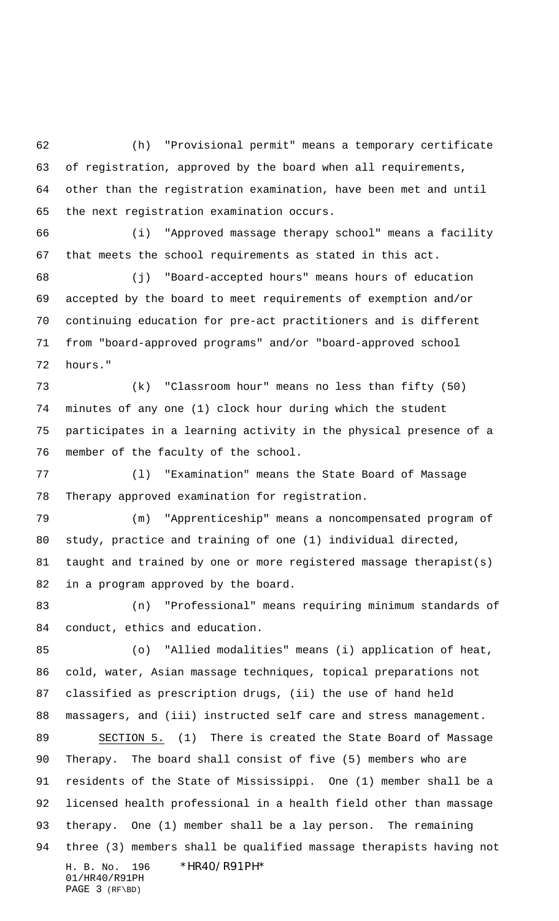(h) "Provisional permit" means a temporary certificate of registration, approved by the board when all requirements, other than the registration examination, have been met and until the next registration examination occurs.

 (i) "Approved massage therapy school" means a facility that meets the school requirements as stated in this act.

 (j) "Board-accepted hours" means hours of education accepted by the board to meet requirements of exemption and/or continuing education for pre-act practitioners and is different from "board-approved programs" and/or "board-approved school hours."

 (k) "Classroom hour" means no less than fifty (50) minutes of any one (1) clock hour during which the student participates in a learning activity in the physical presence of a member of the faculty of the school.

 (l) "Examination" means the State Board of Massage Therapy approved examination for registration.

 (m) "Apprenticeship" means a noncompensated program of study, practice and training of one (1) individual directed, taught and trained by one or more registered massage therapist(s) in a program approved by the board.

 (n) "Professional" means requiring minimum standards of conduct, ethics and education.

H. B. No. 196 \*HR40/R91PH\* 01/HR40/R91PH (o) "Allied modalities" means (i) application of heat, cold, water, Asian massage techniques, topical preparations not classified as prescription drugs, (ii) the use of hand held massagers, and (iii) instructed self care and stress management. SECTION 5. (1) There is created the State Board of Massage Therapy. The board shall consist of five (5) members who are residents of the State of Mississippi. One (1) member shall be a licensed health professional in a health field other than massage therapy. One (1) member shall be a lay person. The remaining three (3) members shall be qualified massage therapists having not

PAGE 3 (RF\BD)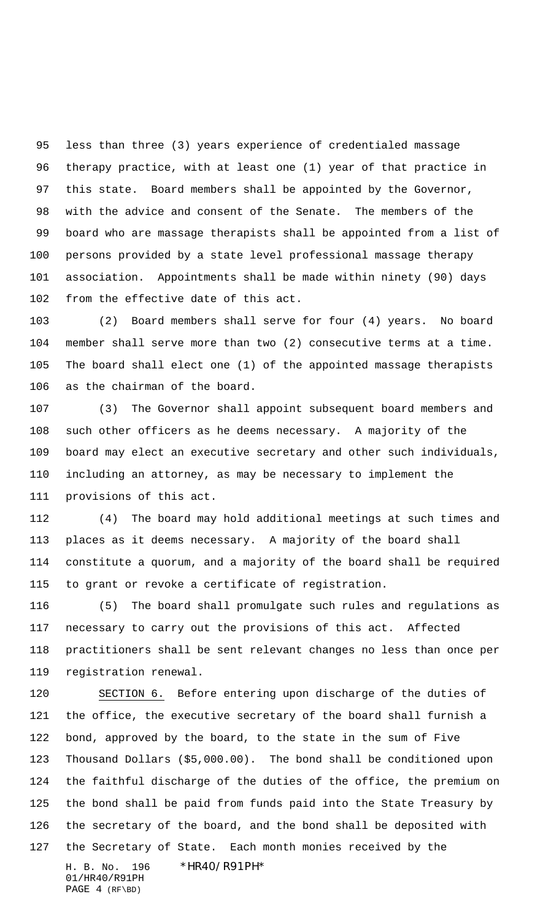less than three (3) years experience of credentialed massage therapy practice, with at least one (1) year of that practice in this state. Board members shall be appointed by the Governor, with the advice and consent of the Senate. The members of the board who are massage therapists shall be appointed from a list of persons provided by a state level professional massage therapy association. Appointments shall be made within ninety (90) days from the effective date of this act.

 (2) Board members shall serve for four (4) years. No board member shall serve more than two (2) consecutive terms at a time. The board shall elect one (1) of the appointed massage therapists as the chairman of the board.

 (3) The Governor shall appoint subsequent board members and such other officers as he deems necessary. A majority of the board may elect an executive secretary and other such individuals, including an attorney, as may be necessary to implement the provisions of this act.

 (4) The board may hold additional meetings at such times and places as it deems necessary. A majority of the board shall constitute a quorum, and a majority of the board shall be required to grant or revoke a certificate of registration.

 (5) The board shall promulgate such rules and regulations as necessary to carry out the provisions of this act. Affected practitioners shall be sent relevant changes no less than once per registration renewal.

H. B. No. 196 \*HR40/R91PH\* SECTION 6. Before entering upon discharge of the duties of the office, the executive secretary of the board shall furnish a bond, approved by the board, to the state in the sum of Five Thousand Dollars (\$5,000.00). The bond shall be conditioned upon the faithful discharge of the duties of the office, the premium on the bond shall be paid from funds paid into the State Treasury by the secretary of the board, and the bond shall be deposited with the Secretary of State. Each month monies received by the

01/HR40/R91PH PAGE 4 (RF\BD)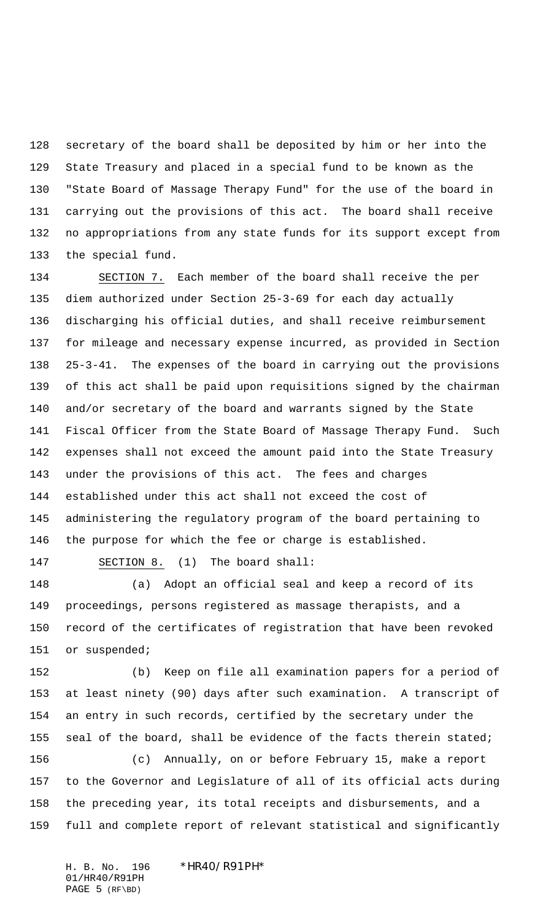secretary of the board shall be deposited by him or her into the State Treasury and placed in a special fund to be known as the "State Board of Massage Therapy Fund" for the use of the board in carrying out the provisions of this act. The board shall receive no appropriations from any state funds for its support except from the special fund.

 SECTION 7. Each member of the board shall receive the per diem authorized under Section 25-3-69 for each day actually discharging his official duties, and shall receive reimbursement for mileage and necessary expense incurred, as provided in Section 25-3-41. The expenses of the board in carrying out the provisions of this act shall be paid upon requisitions signed by the chairman and/or secretary of the board and warrants signed by the State Fiscal Officer from the State Board of Massage Therapy Fund. Such expenses shall not exceed the amount paid into the State Treasury under the provisions of this act. The fees and charges established under this act shall not exceed the cost of administering the regulatory program of the board pertaining to the purpose for which the fee or charge is established.

SECTION 8. (1) The board shall:

 (a) Adopt an official seal and keep a record of its proceedings, persons registered as massage therapists, and a record of the certificates of registration that have been revoked 151 or suspended;

 (b) Keep on file all examination papers for a period of at least ninety (90) days after such examination. A transcript of an entry in such records, certified by the secretary under the 155 seal of the board, shall be evidence of the facts therein stated;

 (c) Annually, on or before February 15, make a report to the Governor and Legislature of all of its official acts during the preceding year, its total receipts and disbursements, and a full and complete report of relevant statistical and significantly

H. B. No. 196 \*HR40/R91PH\* 01/HR40/R91PH PAGE 5 (RF\BD)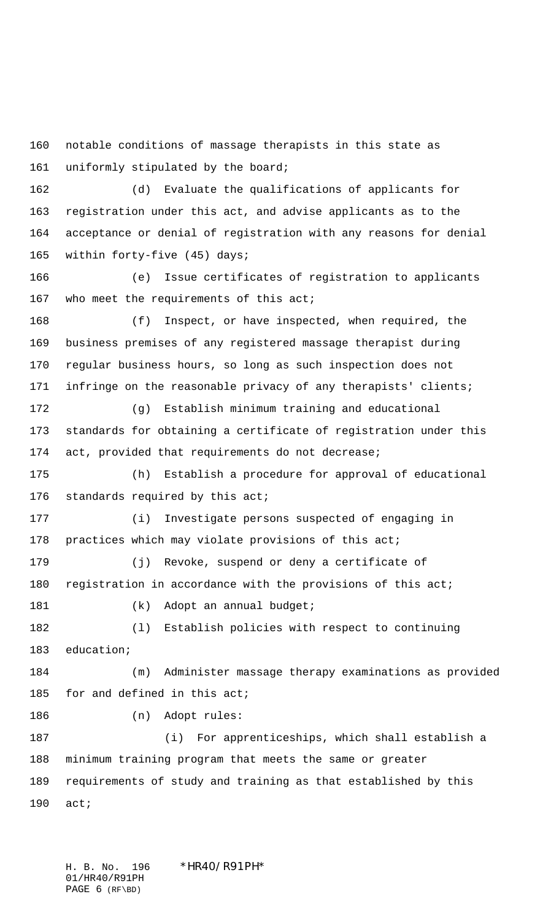notable conditions of massage therapists in this state as uniformly stipulated by the board;

 (d) Evaluate the qualifications of applicants for registration under this act, and advise applicants as to the acceptance or denial of registration with any reasons for denial within forty-five (45) days;

 (e) Issue certificates of registration to applicants 167 who meet the requirements of this act;

 (f) Inspect, or have inspected, when required, the business premises of any registered massage therapist during regular business hours, so long as such inspection does not infringe on the reasonable privacy of any therapists' clients;

 (g) Establish minimum training and educational standards for obtaining a certificate of registration under this act, provided that requirements do not decrease;

 (h) Establish a procedure for approval of educational 176 standards required by this act;

 (i) Investigate persons suspected of engaging in 178 practices which may violate provisions of this act;

 (j) Revoke, suspend or deny a certificate of registration in accordance with the provisions of this act;

181 (k) Adopt an annual budget;

 (l) Establish policies with respect to continuing education;

 (m) Administer massage therapy examinations as provided 185 for and defined in this act;

186 (n) Adopt rules:

 (i) For apprenticeships, which shall establish a minimum training program that meets the same or greater requirements of study and training as that established by this act;

H. B. No. 196 \*HR40/R91PH\* 01/HR40/R91PH PAGE 6 (RF\BD)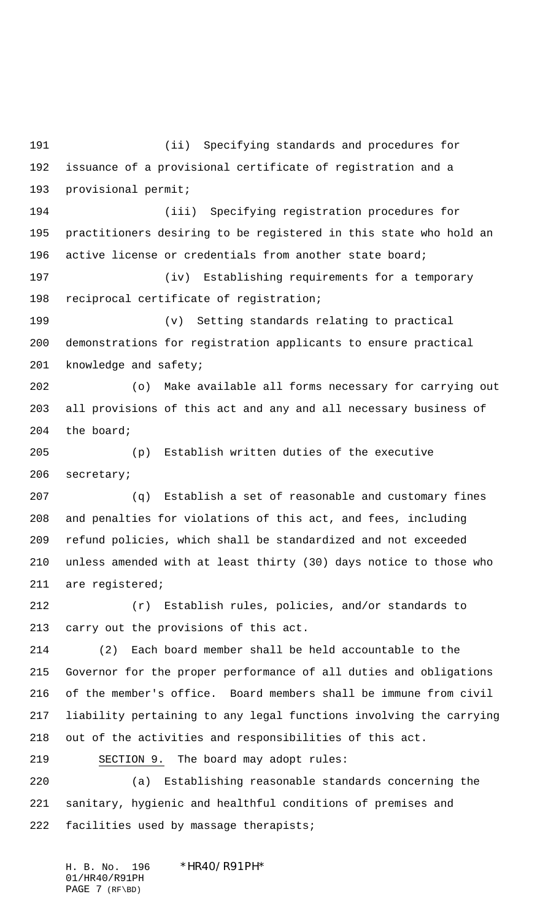(ii) Specifying standards and procedures for issuance of a provisional certificate of registration and a provisional permit;

 (iii) Specifying registration procedures for practitioners desiring to be registered in this state who hold an active license or credentials from another state board;

 (iv) Establishing requirements for a temporary reciprocal certificate of registration;

 (v) Setting standards relating to practical demonstrations for registration applicants to ensure practical knowledge and safety;

 (o) Make available all forms necessary for carrying out all provisions of this act and any and all necessary business of the board;

 (p) Establish written duties of the executive secretary;

 (q) Establish a set of reasonable and customary fines and penalties for violations of this act, and fees, including refund policies, which shall be standardized and not exceeded unless amended with at least thirty (30) days notice to those who are registered;

 (r) Establish rules, policies, and/or standards to carry out the provisions of this act.

 (2) Each board member shall be held accountable to the Governor for the proper performance of all duties and obligations of the member's office. Board members shall be immune from civil liability pertaining to any legal functions involving the carrying out of the activities and responsibilities of this act.

SECTION 9. The board may adopt rules:

 (a) Establishing reasonable standards concerning the sanitary, hygienic and healthful conditions of premises and facilities used by massage therapists;

H. B. No. 196 \*HR40/R91PH\* 01/HR40/R91PH PAGE 7 (RF\BD)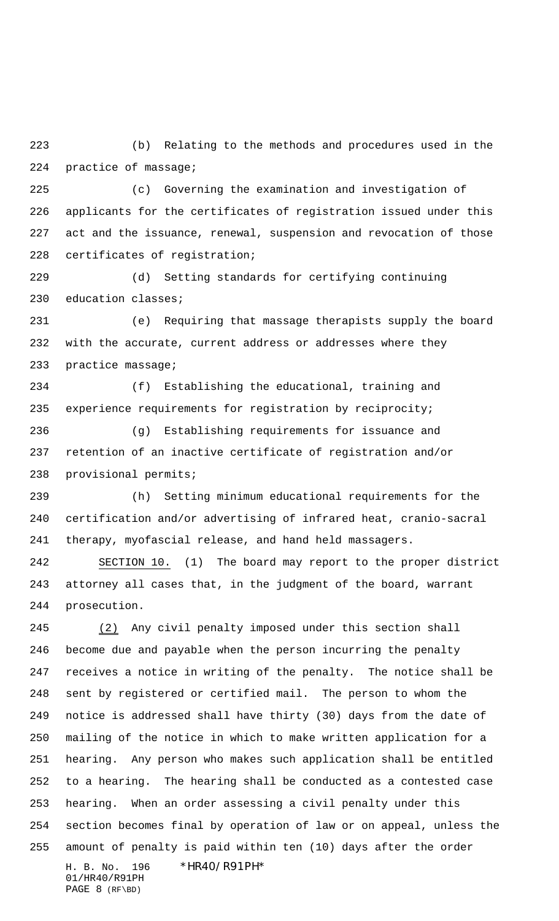(b) Relating to the methods and procedures used in the practice of massage;

 (c) Governing the examination and investigation of applicants for the certificates of registration issued under this act and the issuance, renewal, suspension and revocation of those certificates of registration;

 (d) Setting standards for certifying continuing education classes;

 (e) Requiring that massage therapists supply the board with the accurate, current address or addresses where they practice massage;

 (f) Establishing the educational, training and experience requirements for registration by reciprocity;

 (g) Establishing requirements for issuance and retention of an inactive certificate of registration and/or provisional permits;

 (h) Setting minimum educational requirements for the certification and/or advertising of infrared heat, cranio-sacral therapy, myofascial release, and hand held massagers.

 SECTION 10. (1) The board may report to the proper district attorney all cases that, in the judgment of the board, warrant prosecution.

H. B. No. 196 \*HR40/R91PH\*  $(2)$  Any civil penalty imposed under this section shall become due and payable when the person incurring the penalty receives a notice in writing of the penalty. The notice shall be sent by registered or certified mail. The person to whom the notice is addressed shall have thirty (30) days from the date of mailing of the notice in which to make written application for a hearing. Any person who makes such application shall be entitled to a hearing. The hearing shall be conducted as a contested case hearing. When an order assessing a civil penalty under this section becomes final by operation of law or on appeal, unless the amount of penalty is paid within ten (10) days after the order

01/HR40/R91PH PAGE 8 (RF\BD)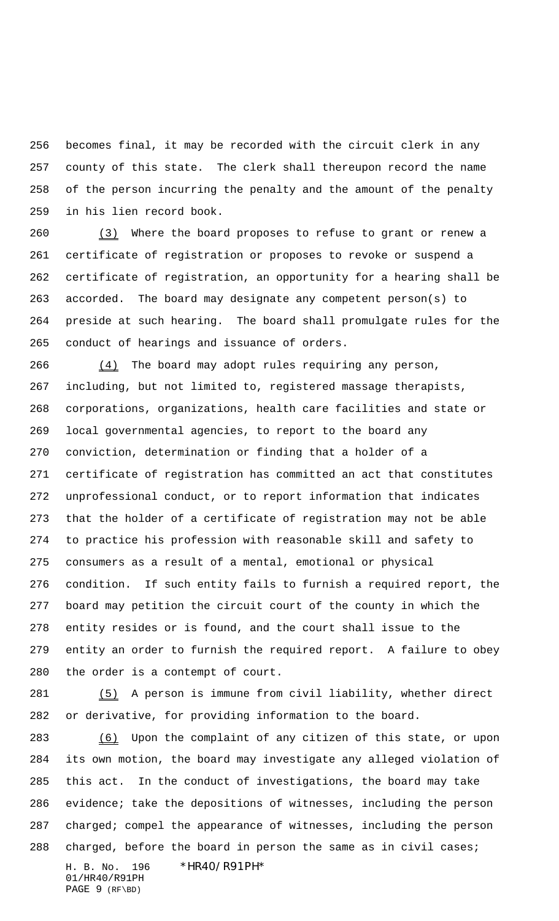becomes final, it may be recorded with the circuit clerk in any county of this state. The clerk shall thereupon record the name of the person incurring the penalty and the amount of the penalty in his lien record book.

 $(3)$  Where the board proposes to refuse to grant or renew a certificate of registration or proposes to revoke or suspend a certificate of registration, an opportunity for a hearing shall be accorded. The board may designate any competent person(s) to preside at such hearing. The board shall promulgate rules for the conduct of hearings and issuance of orders.

 $(4)$  The board may adopt rules requiring any person, including, but not limited to, registered massage therapists, corporations, organizations, health care facilities and state or local governmental agencies, to report to the board any conviction, determination or finding that a holder of a certificate of registration has committed an act that constitutes unprofessional conduct, or to report information that indicates that the holder of a certificate of registration may not be able to practice his profession with reasonable skill and safety to consumers as a result of a mental, emotional or physical condition. If such entity fails to furnish a required report, the board may petition the circuit court of the county in which the entity resides or is found, and the court shall issue to the entity an order to furnish the required report. A failure to obey the order is a contempt of court.

 (5) A person is immune from civil liability, whether direct or derivative, for providing information to the board.

H. B. No. 196 \*HR40/R91PH\* 283 (6) Upon the complaint of any citizen of this state, or upon its own motion, the board may investigate any alleged violation of this act. In the conduct of investigations, the board may take evidence; take the depositions of witnesses, including the person charged; compel the appearance of witnesses, including the person 288 charged, before the board in person the same as in civil cases;

01/HR40/R91PH PAGE 9 (RF\BD)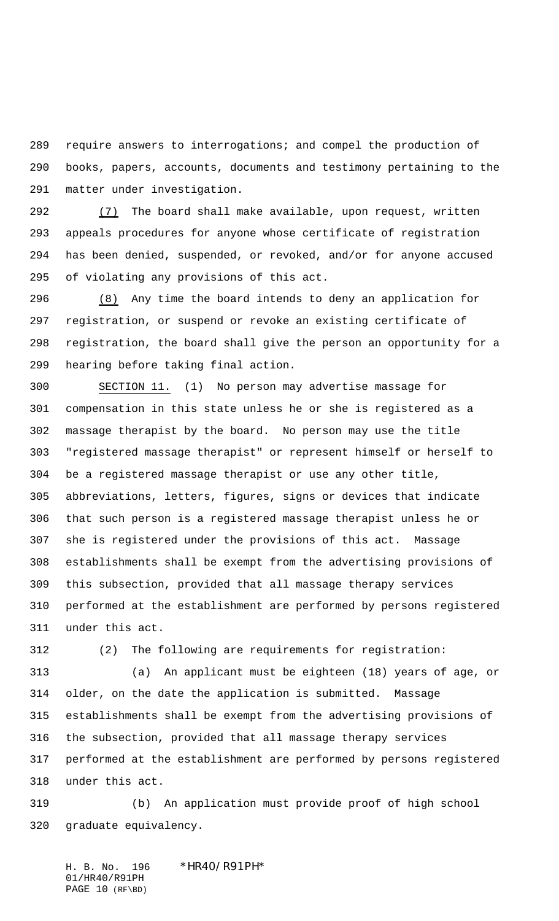require answers to interrogations; and compel the production of books, papers, accounts, documents and testimony pertaining to the matter under investigation.

 $(7)$  The board shall make available, upon request, written appeals procedures for anyone whose certificate of registration has been denied, suspended, or revoked, and/or for anyone accused of violating any provisions of this act.

296 (8) Any time the board intends to deny an application for registration, or suspend or revoke an existing certificate of registration, the board shall give the person an opportunity for a hearing before taking final action.

 SECTION 11. (1) No person may advertise massage for compensation in this state unless he or she is registered as a massage therapist by the board. No person may use the title "registered massage therapist" or represent himself or herself to be a registered massage therapist or use any other title, abbreviations, letters, figures, signs or devices that indicate that such person is a registered massage therapist unless he or she is registered under the provisions of this act. Massage establishments shall be exempt from the advertising provisions of this subsection, provided that all massage therapy services performed at the establishment are performed by persons registered under this act.

(2) The following are requirements for registration:

 (a) An applicant must be eighteen (18) years of age, or older, on the date the application is submitted. Massage establishments shall be exempt from the advertising provisions of the subsection, provided that all massage therapy services performed at the establishment are performed by persons registered under this act.

 (b) An application must provide proof of high school graduate equivalency.

H. B. No. 196 \*HR40/R91PH\* 01/HR40/R91PH PAGE 10 (RF\BD)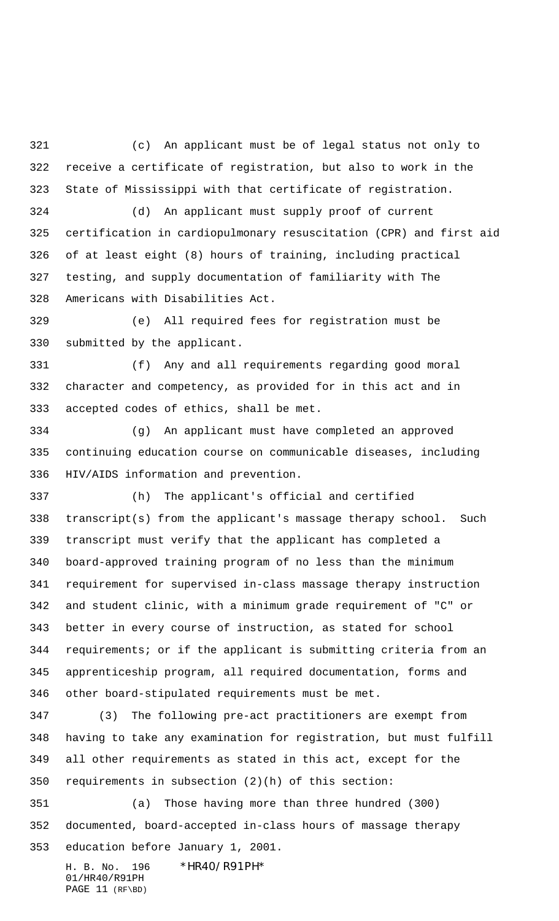(c) An applicant must be of legal status not only to receive a certificate of registration, but also to work in the State of Mississippi with that certificate of registration.

 (d) An applicant must supply proof of current certification in cardiopulmonary resuscitation (CPR) and first aid of at least eight (8) hours of training, including practical testing, and supply documentation of familiarity with The Americans with Disabilities Act.

 (e) All required fees for registration must be submitted by the applicant.

 (f) Any and all requirements regarding good moral character and competency, as provided for in this act and in accepted codes of ethics, shall be met.

 (g) An applicant must have completed an approved continuing education course on communicable diseases, including HIV/AIDS information and prevention.

 (h) The applicant's official and certified transcript(s) from the applicant's massage therapy school. Such transcript must verify that the applicant has completed a board-approved training program of no less than the minimum requirement for supervised in-class massage therapy instruction and student clinic, with a minimum grade requirement of "C" or better in every course of instruction, as stated for school requirements; or if the applicant is submitting criteria from an apprenticeship program, all required documentation, forms and other board-stipulated requirements must be met.

 (3) The following pre-act practitioners are exempt from having to take any examination for registration, but must fulfill all other requirements as stated in this act, except for the requirements in subsection (2)(h) of this section:

 (a) Those having more than three hundred (300) documented, board-accepted in-class hours of massage therapy education before January 1, 2001.

H. B. No. 196 \*HR40/R91PH\* 01/HR40/R91PH PAGE 11 (RF\BD)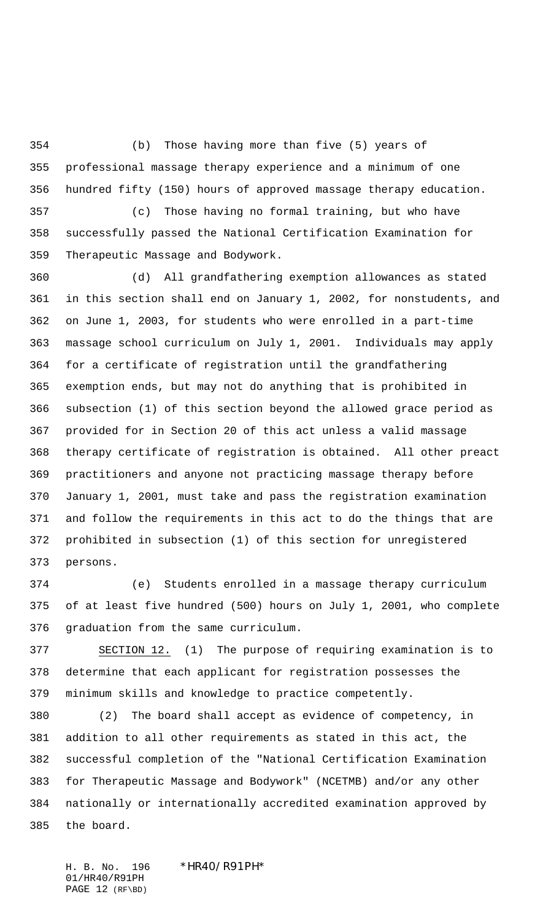(b) Those having more than five (5) years of professional massage therapy experience and a minimum of one hundred fifty (150) hours of approved massage therapy education.

 (c) Those having no formal training, but who have successfully passed the National Certification Examination for Therapeutic Massage and Bodywork.

 (d) All grandfathering exemption allowances as stated in this section shall end on January 1, 2002, for nonstudents, and on June 1, 2003, for students who were enrolled in a part-time massage school curriculum on July 1, 2001. Individuals may apply for a certificate of registration until the grandfathering exemption ends, but may not do anything that is prohibited in subsection (1) of this section beyond the allowed grace period as provided for in Section 20 of this act unless a valid massage therapy certificate of registration is obtained. All other preact practitioners and anyone not practicing massage therapy before January 1, 2001, must take and pass the registration examination and follow the requirements in this act to do the things that are prohibited in subsection (1) of this section for unregistered persons.

 (e) Students enrolled in a massage therapy curriculum of at least five hundred (500) hours on July 1, 2001, who complete graduation from the same curriculum.

 SECTION 12. (1) The purpose of requiring examination is to determine that each applicant for registration possesses the minimum skills and knowledge to practice competently.

 (2) The board shall accept as evidence of competency, in addition to all other requirements as stated in this act, the successful completion of the "National Certification Examination for Therapeutic Massage and Bodywork" (NCETMB) and/or any other nationally or internationally accredited examination approved by the board.

H. B. No. 196 \*HR40/R91PH\* 01/HR40/R91PH PAGE 12 (RF\BD)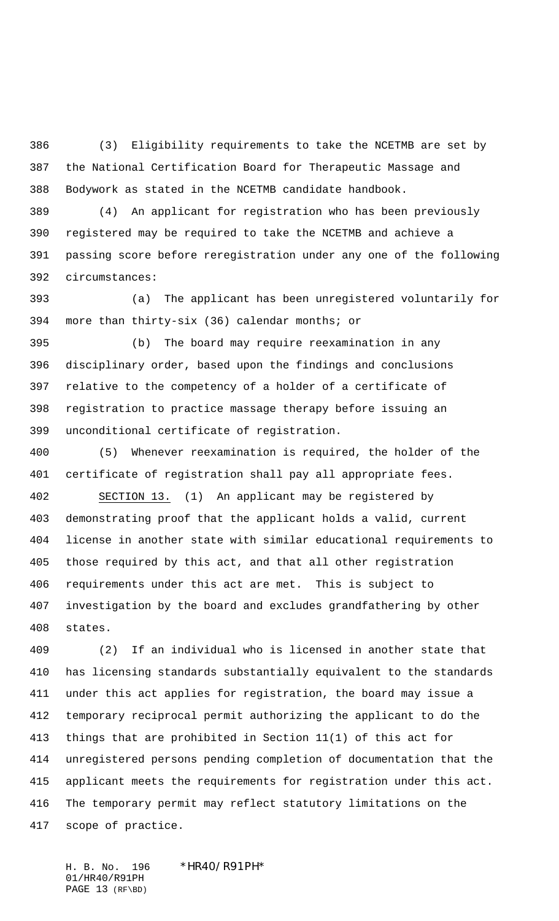(3) Eligibility requirements to take the NCETMB are set by the National Certification Board for Therapeutic Massage and Bodywork as stated in the NCETMB candidate handbook.

 (4) An applicant for registration who has been previously registered may be required to take the NCETMB and achieve a passing score before reregistration under any one of the following circumstances:

 (a) The applicant has been unregistered voluntarily for more than thirty-six (36) calendar months; or

 (b) The board may require reexamination in any disciplinary order, based upon the findings and conclusions relative to the competency of a holder of a certificate of registration to practice massage therapy before issuing an unconditional certificate of registration.

 (5) Whenever reexamination is required, the holder of the certificate of registration shall pay all appropriate fees. SECTION 13. (1) An applicant may be registered by demonstrating proof that the applicant holds a valid, current license in another state with similar educational requirements to those required by this act, and that all other registration requirements under this act are met. This is subject to investigation by the board and excludes grandfathering by other

states.

 (2) If an individual who is licensed in another state that has licensing standards substantially equivalent to the standards under this act applies for registration, the board may issue a temporary reciprocal permit authorizing the applicant to do the things that are prohibited in Section 11(1) of this act for unregistered persons pending completion of documentation that the applicant meets the requirements for registration under this act. The temporary permit may reflect statutory limitations on the scope of practice.

H. B. No. 196 \*HR40/R91PH\* 01/HR40/R91PH PAGE 13 (RF\BD)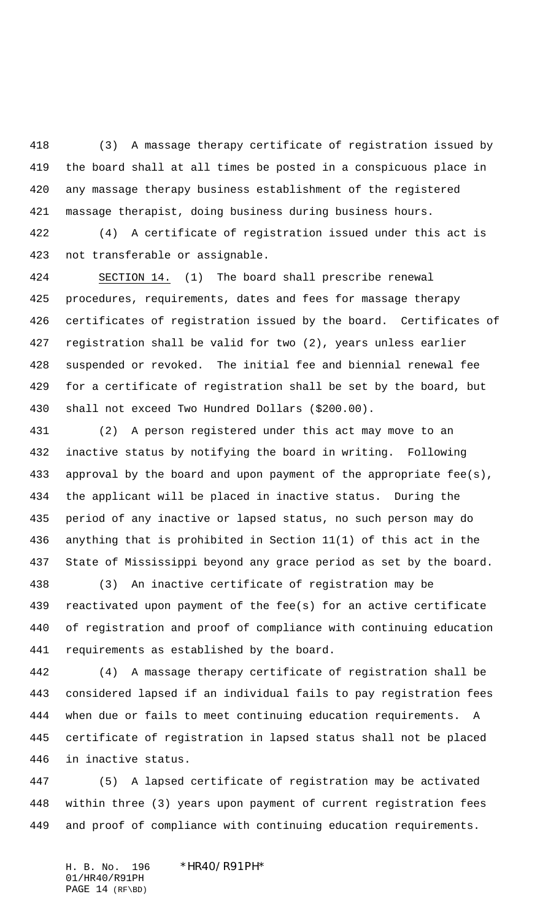(3) A massage therapy certificate of registration issued by the board shall at all times be posted in a conspicuous place in any massage therapy business establishment of the registered massage therapist, doing business during business hours.

 (4) A certificate of registration issued under this act is not transferable or assignable.

 SECTION 14. (1) The board shall prescribe renewal procedures, requirements, dates and fees for massage therapy certificates of registration issued by the board. Certificates of registration shall be valid for two (2), years unless earlier suspended or revoked. The initial fee and biennial renewal fee for a certificate of registration shall be set by the board, but shall not exceed Two Hundred Dollars (\$200.00).

 (2) A person registered under this act may move to an inactive status by notifying the board in writing. Following approval by the board and upon payment of the appropriate fee(s), the applicant will be placed in inactive status. During the period of any inactive or lapsed status, no such person may do anything that is prohibited in Section 11(1) of this act in the State of Mississippi beyond any grace period as set by the board.

 (3) An inactive certificate of registration may be reactivated upon payment of the fee(s) for an active certificate of registration and proof of compliance with continuing education requirements as established by the board.

 (4) A massage therapy certificate of registration shall be considered lapsed if an individual fails to pay registration fees when due or fails to meet continuing education requirements. A certificate of registration in lapsed status shall not be placed in inactive status.

 (5) A lapsed certificate of registration may be activated within three (3) years upon payment of current registration fees and proof of compliance with continuing education requirements.

H. B. No. 196 \*HR40/R91PH\* 01/HR40/R91PH PAGE 14 (RF\BD)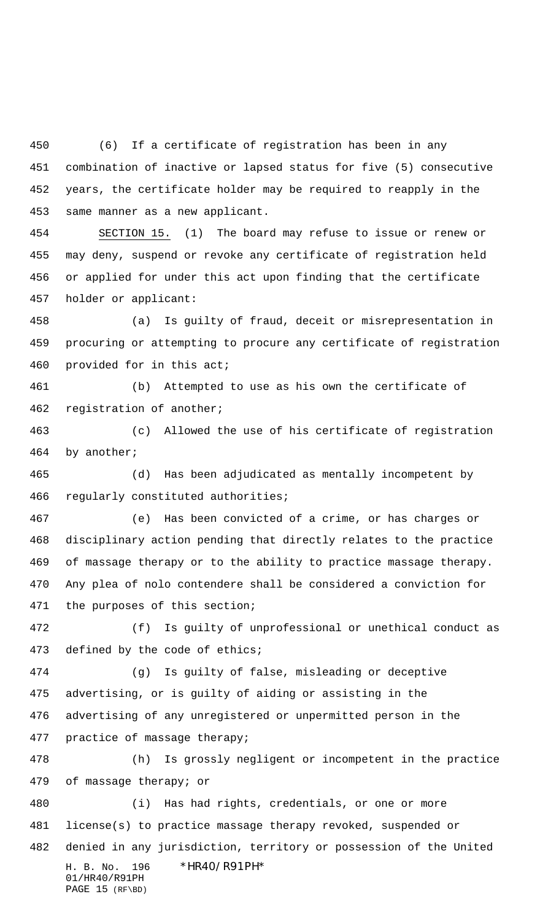(6) If a certificate of registration has been in any combination of inactive or lapsed status for five (5) consecutive years, the certificate holder may be required to reapply in the same manner as a new applicant.

 SECTION 15. (1) The board may refuse to issue or renew or may deny, suspend or revoke any certificate of registration held or applied for under this act upon finding that the certificate holder or applicant:

 (a) Is guilty of fraud, deceit or misrepresentation in procuring or attempting to procure any certificate of registration provided for in this act;

 (b) Attempted to use as his own the certificate of registration of another;

 (c) Allowed the use of his certificate of registration by another;

 (d) Has been adjudicated as mentally incompetent by regularly constituted authorities;

 (e) Has been convicted of a crime, or has charges or disciplinary action pending that directly relates to the practice of massage therapy or to the ability to practice massage therapy. Any plea of nolo contendere shall be considered a conviction for the purposes of this section;

 (f) Is guilty of unprofessional or unethical conduct as defined by the code of ethics;

 (g) Is guilty of false, misleading or deceptive advertising, or is guilty of aiding or assisting in the advertising of any unregistered or unpermitted person in the practice of massage therapy;

 (h) Is grossly negligent or incompetent in the practice of massage therapy; or

H. B. No. 196 \*HR40/R91PH\* 01/HR40/R91PH PAGE 15 (RF\BD) (i) Has had rights, credentials, or one or more license(s) to practice massage therapy revoked, suspended or denied in any jurisdiction, territory or possession of the United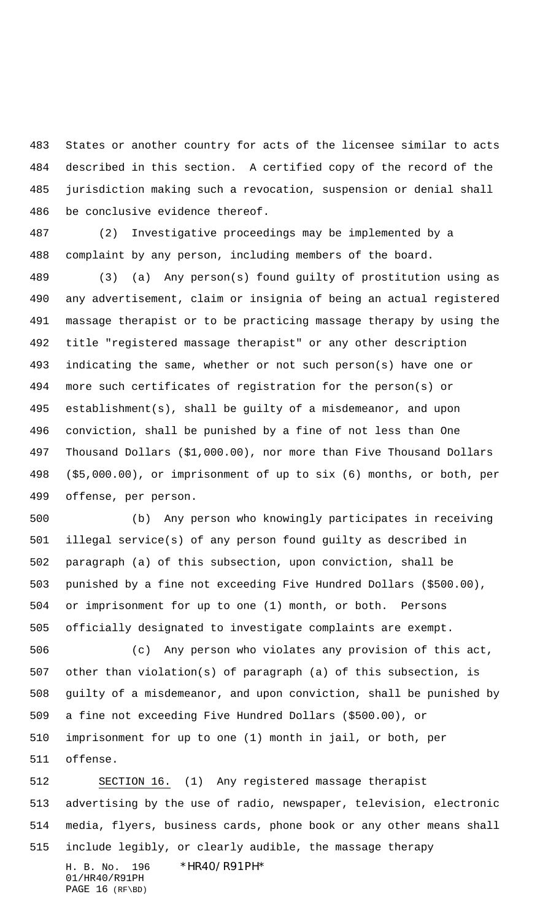States or another country for acts of the licensee similar to acts described in this section. A certified copy of the record of the jurisdiction making such a revocation, suspension or denial shall be conclusive evidence thereof.

 (2) Investigative proceedings may be implemented by a complaint by any person, including members of the board.

 (3) (a) Any person(s) found guilty of prostitution using as any advertisement, claim or insignia of being an actual registered massage therapist or to be practicing massage therapy by using the title "registered massage therapist" or any other description indicating the same, whether or not such person(s) have one or more such certificates of registration for the person(s) or establishment(s), shall be guilty of a misdemeanor, and upon conviction, shall be punished by a fine of not less than One Thousand Dollars (\$1,000.00), nor more than Five Thousand Dollars (\$5,000.00), or imprisonment of up to six (6) months, or both, per offense, per person.

 (b) Any person who knowingly participates in receiving illegal service(s) of any person found guilty as described in paragraph (a) of this subsection, upon conviction, shall be punished by a fine not exceeding Five Hundred Dollars (\$500.00), or imprisonment for up to one (1) month, or both. Persons officially designated to investigate complaints are exempt.

 (c) Any person who violates any provision of this act, other than violation(s) of paragraph (a) of this subsection, is guilty of a misdemeanor, and upon conviction, shall be punished by a fine not exceeding Five Hundred Dollars (\$500.00), or imprisonment for up to one (1) month in jail, or both, per offense.

H. B. No. 196 \*HR40/R91PH\* SECTION 16. (1) Any registered massage therapist advertising by the use of radio, newspaper, television, electronic media, flyers, business cards, phone book or any other means shall include legibly, or clearly audible, the massage therapy

01/HR40/R91PH PAGE 16 (RF\BD)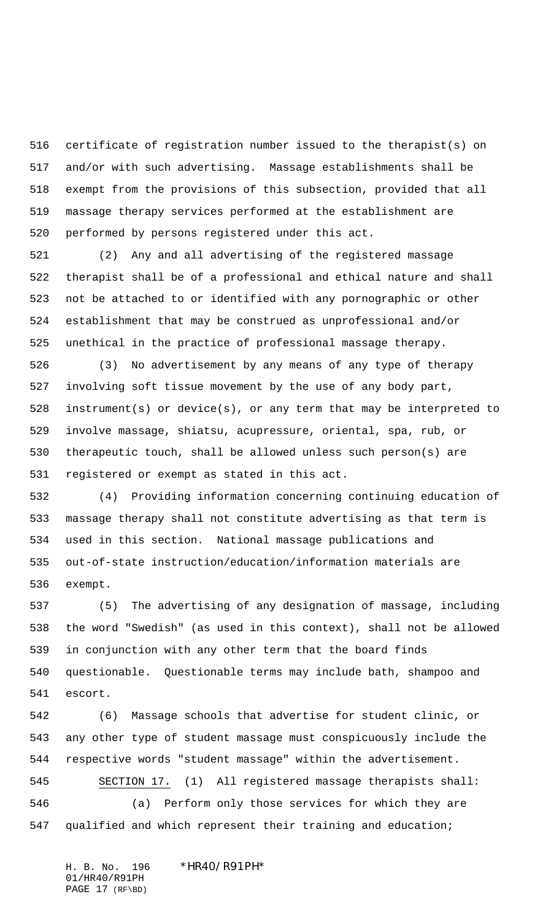certificate of registration number issued to the therapist(s) on and/or with such advertising. Massage establishments shall be exempt from the provisions of this subsection, provided that all massage therapy services performed at the establishment are performed by persons registered under this act.

 (2) Any and all advertising of the registered massage therapist shall be of a professional and ethical nature and shall not be attached to or identified with any pornographic or other establishment that may be construed as unprofessional and/or unethical in the practice of professional massage therapy.

 (3) No advertisement by any means of any type of therapy involving soft tissue movement by the use of any body part, instrument(s) or device(s), or any term that may be interpreted to involve massage, shiatsu, acupressure, oriental, spa, rub, or therapeutic touch, shall be allowed unless such person(s) are registered or exempt as stated in this act.

 (4) Providing information concerning continuing education of massage therapy shall not constitute advertising as that term is used in this section. National massage publications and out-of-state instruction/education/information materials are exempt.

 (5) The advertising of any designation of massage, including the word "Swedish" (as used in this context), shall not be allowed in conjunction with any other term that the board finds questionable. Questionable terms may include bath, shampoo and escort.

 (6) Massage schools that advertise for student clinic, or any other type of student massage must conspicuously include the respective words "student massage" within the advertisement. SECTION 17. (1) All registered massage therapists shall: (a) Perform only those services for which they are qualified and which represent their training and education;

H. B. No. 196 \*HR40/R91PH\* 01/HR40/R91PH PAGE 17 (RF\BD)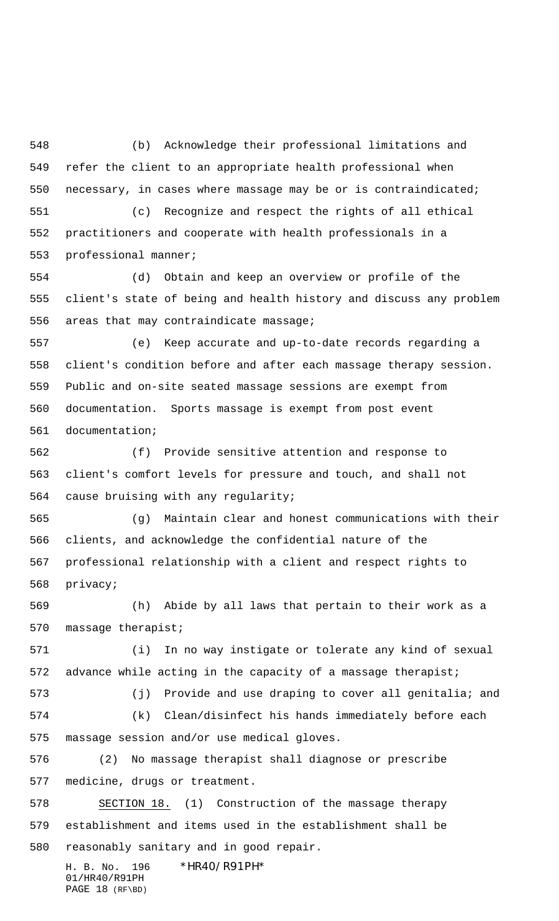(b) Acknowledge their professional limitations and refer the client to an appropriate health professional when necessary, in cases where massage may be or is contraindicated; (c) Recognize and respect the rights of all ethical practitioners and cooperate with health professionals in a

professional manner;

 (d) Obtain and keep an overview or profile of the client's state of being and health history and discuss any problem areas that may contraindicate massage;

 (e) Keep accurate and up-to-date records regarding a client's condition before and after each massage therapy session. Public and on-site seated massage sessions are exempt from documentation. Sports massage is exempt from post event documentation;

 (f) Provide sensitive attention and response to client's comfort levels for pressure and touch, and shall not cause bruising with any regularity;

 (g) Maintain clear and honest communications with their clients, and acknowledge the confidential nature of the professional relationship with a client and respect rights to privacy;

 (h) Abide by all laws that pertain to their work as a massage therapist;

 (i) In no way instigate or tolerate any kind of sexual 572 advance while acting in the capacity of a massage therapist;

 (j) Provide and use draping to cover all genitalia; and (k) Clean/disinfect his hands immediately before each massage session and/or use medical gloves.

 (2) No massage therapist shall diagnose or prescribe medicine, drugs or treatment.

 SECTION 18. (1) Construction of the massage therapy establishment and items used in the establishment shall be reasonably sanitary and in good repair.

H. B. No. 196 \*HR40/R91PH\* 01/HR40/R91PH PAGE 18 (RF\BD)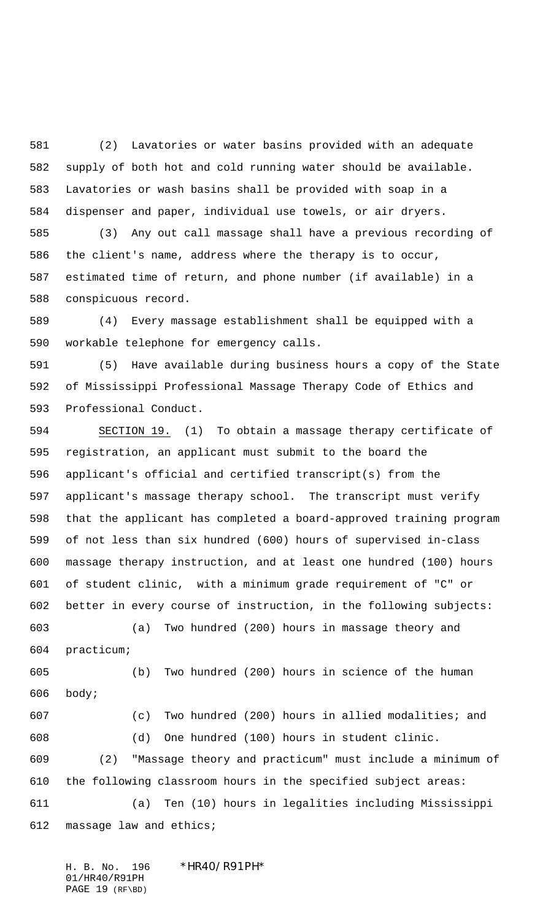(2) Lavatories or water basins provided with an adequate supply of both hot and cold running water should be available. Lavatories or wash basins shall be provided with soap in a dispenser and paper, individual use towels, or air dryers.

 (3) Any out call massage shall have a previous recording of the client's name, address where the therapy is to occur, estimated time of return, and phone number (if available) in a conspicuous record.

 (4) Every massage establishment shall be equipped with a workable telephone for emergency calls.

 (5) Have available during business hours a copy of the State of Mississippi Professional Massage Therapy Code of Ethics and Professional Conduct.

 SECTION 19. (1) To obtain a massage therapy certificate of registration, an applicant must submit to the board the applicant's official and certified transcript(s) from the applicant's massage therapy school. The transcript must verify that the applicant has completed a board-approved training program of not less than six hundred (600) hours of supervised in-class massage therapy instruction, and at least one hundred (100) hours of student clinic, with a minimum grade requirement of "C" or better in every course of instruction, in the following subjects:

 (a) Two hundred (200) hours in massage theory and practicum;

 (b) Two hundred (200) hours in science of the human body; (c) Two hundred (200) hours in allied modalities; and

 (d) One hundred (100) hours in student clinic. (2) "Massage theory and practicum" must include a minimum of the following classroom hours in the specified subject areas: (a) Ten (10) hours in legalities including Mississippi massage law and ethics;

H. B. No. 196 \*HR40/R91PH\* 01/HR40/R91PH PAGE 19 (RF\BD)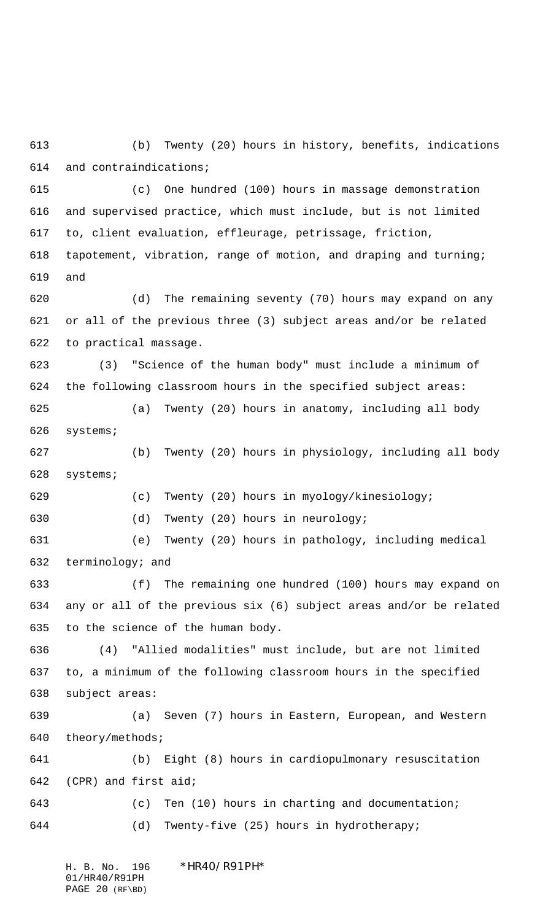(b) Twenty (20) hours in history, benefits, indications and contraindications;

 (c) One hundred (100) hours in massage demonstration and supervised practice, which must include, but is not limited to, client evaluation, effleurage, petrissage, friction, tapotement, vibration, range of motion, and draping and turning; and

 (d) The remaining seventy (70) hours may expand on any or all of the previous three (3) subject areas and/or be related to practical massage.

 (3) "Science of the human body" must include a minimum of the following classroom hours in the specified subject areas:

 (a) Twenty (20) hours in anatomy, including all body systems;

 (b) Twenty (20) hours in physiology, including all body systems;

 (c) Twenty (20) hours in myology/kinesiology; (d) Twenty (20) hours in neurology;

 (e) Twenty (20) hours in pathology, including medical terminology; and

 (f) The remaining one hundred (100) hours may expand on any or all of the previous six (6) subject areas and/or be related to the science of the human body.

 (4) "Allied modalities" must include, but are not limited to, a minimum of the following classroom hours in the specified subject areas:

 (a) Seven (7) hours in Eastern, European, and Western theory/methods;

 (b) Eight (8) hours in cardiopulmonary resuscitation (CPR) and first aid; (c) Ten (10) hours in charting and documentation; (d) Twenty-five (25) hours in hydrotherapy;

H. B. No. 196 \*HR40/R91PH\* 01/HR40/R91PH PAGE 20 (RF\BD)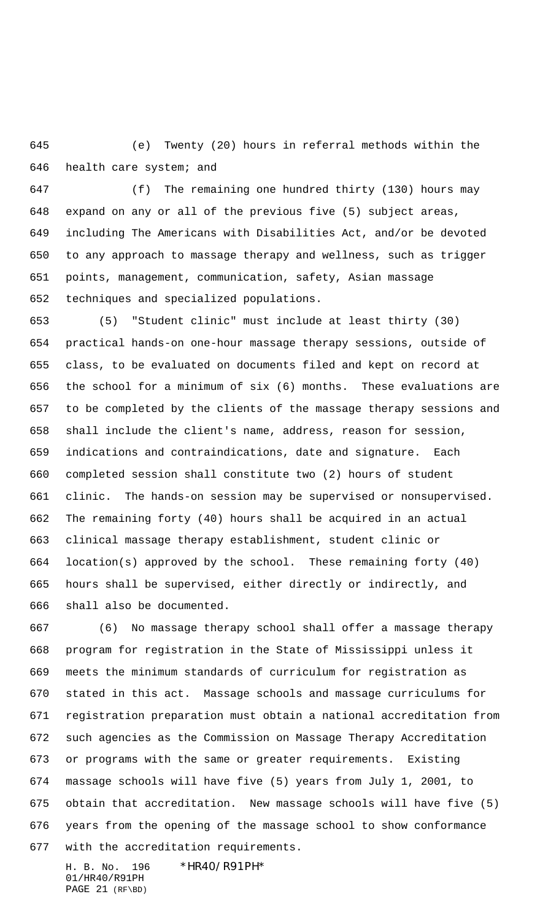(e) Twenty (20) hours in referral methods within the health care system; and

 (f) The remaining one hundred thirty (130) hours may expand on any or all of the previous five (5) subject areas, including The Americans with Disabilities Act, and/or be devoted to any approach to massage therapy and wellness, such as trigger points, management, communication, safety, Asian massage techniques and specialized populations.

 (5) "Student clinic" must include at least thirty (30) practical hands-on one-hour massage therapy sessions, outside of class, to be evaluated on documents filed and kept on record at the school for a minimum of six (6) months. These evaluations are to be completed by the clients of the massage therapy sessions and shall include the client's name, address, reason for session, indications and contraindications, date and signature. Each completed session shall constitute two (2) hours of student clinic. The hands-on session may be supervised or nonsupervised. The remaining forty (40) hours shall be acquired in an actual clinical massage therapy establishment, student clinic or location(s) approved by the school. These remaining forty (40) hours shall be supervised, either directly or indirectly, and shall also be documented.

 (6) No massage therapy school shall offer a massage therapy program for registration in the State of Mississippi unless it meets the minimum standards of curriculum for registration as stated in this act. Massage schools and massage curriculums for registration preparation must obtain a national accreditation from such agencies as the Commission on Massage Therapy Accreditation or programs with the same or greater requirements. Existing massage schools will have five (5) years from July 1, 2001, to obtain that accreditation. New massage schools will have five (5) years from the opening of the massage school to show conformance with the accreditation requirements.

H. B. No. 196 \*HR40/R91PH\* 01/HR40/R91PH PAGE 21 (RF\BD)